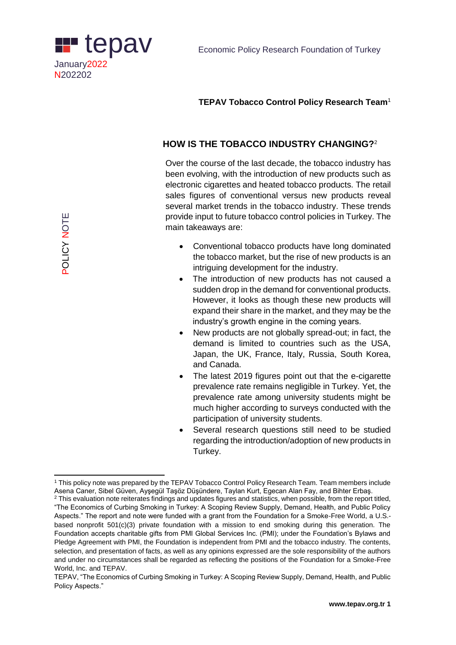

### **TEPAV Tobacco Control Policy Research Team**<sup>1</sup>

# **HOW IS THE TOBACCO INDUSTRY CHANGING?**<sup>2</sup>

Over the course of the last decade, the tobacco industry has been evolving, with the introduction of new products such as electronic cigarettes and heated tobacco products. The retail sales figures of conventional versus new products reveal several market trends in the tobacco industry. These trends provide input to future tobacco control policies in Turkey. The main takeaways are:

- Conventional tobacco products have long dominated the tobacco market, but the rise of new products is an intriguing development for the industry.
- The introduction of new products has not caused a sudden drop in the demand for conventional products. However, it looks as though these new products will expand their share in the market, and they may be the industry's growth engine in the coming years.
- New products are not globally spread-out; in fact, the demand is limited to countries such as the USA, Japan, the UK, France, Italy, Russia, South Korea, and Canada.
- The latest 2019 figures point out that the e-cigarette prevalence rate remains negligible in Turkey. Yet, the prevalence rate among university students might be much higher according to surveys conducted with the participation of university students.
- Several research questions still need to be studied regarding the introduction/adoption of new products in Turkey.

 <sup>1</sup> This policy note was prepared by the TEPAV Tobacco Control Policy Research Team. Team members include Asena Caner, Sibel Güven, Ayşegül Taşöz Düşündere, Taylan Kurt, Egecan Alan Fay, and Bihter Erbaş.

<sup>&</sup>lt;sup>2</sup> This evaluation note reiterates findings and updates figures and statistics, when possible, from the report titled, "The Economics of Curbing Smoking in Turkey: A Scoping Review Supply, Demand, Health, and Public Policy Aspects." The report and note were funded with a grant from the Foundation for a Smoke-Free World, a U.S. based nonprofit 501(c)(3) private foundation with a mission to end smoking during this generation. The Foundation accepts charitable gifts from PMI Global Services Inc. (PMI); under the Foundation's Bylaws and Pledge Agreement with PMI, the Foundation is independent from PMI and the tobacco industry. The contents, selection, and presentation of facts, as well as any opinions expressed are the sole responsibility of the authors and under no circumstances shall be regarded as reflecting the positions of the Foundation for a Smoke-Free World, Inc. and TEPAV.

TEPAV, "The Economics of Curbing Smoking in Turkey: A Scoping Review Supply, Demand, Health, and Public Policy Aspects."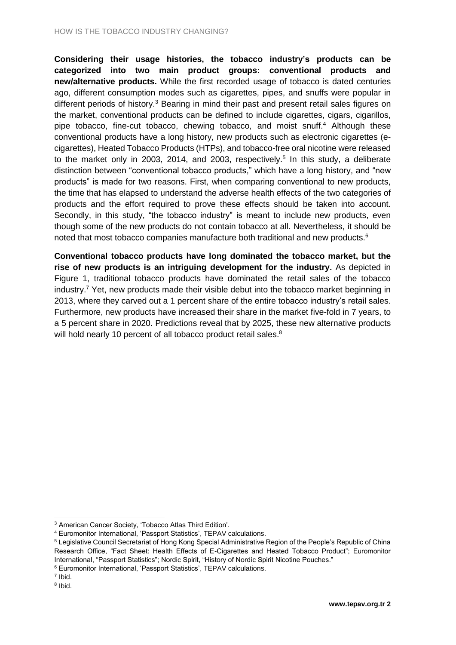**Considering their usage histories, the tobacco industry's products can be categorized into two main product groups: conventional products and new/alternative products.** While the first recorded usage of tobacco is dated centuries ago, different consumption modes such as cigarettes, pipes, and snuffs were popular in different periods of history.<sup>3</sup> Bearing in mind their past and present retail sales figures on the market, conventional products can be defined to include cigarettes, cigars, cigarillos, pipe tobacco, fine-cut tobacco, chewing tobacco, and moist snuff.<sup>4</sup> Although these conventional products have a long history, new products such as electronic cigarettes (ecigarettes), Heated Tobacco Products (HTPs), and tobacco-free oral nicotine were released to the market only in 2003, 2014, and 2003, respectively.<sup>5</sup> In this study, a deliberate distinction between "conventional tobacco products," which have a long history, and "new products" is made for two reasons. First, when comparing conventional to new products, the time that has elapsed to understand the adverse health effects of the two categories of products and the effort required to prove these effects should be taken into account. Secondly, in this study, "the tobacco industry" is meant to include new products, even though some of the new products do not contain tobacco at all. Nevertheless, it should be noted that most tobacco companies manufacture both traditional and new products.<sup>6</sup>

**Conventional tobacco products have long dominated the tobacco market, but the rise of new products is an intriguing development for the industry.** As depicted in Figure 1, traditional tobacco products have dominated the retail sales of the tobacco industry.<sup>7</sup> Yet, new products made their visible debut into the tobacco market beginning in 2013, where they carved out a 1 percent share of the entire tobacco industry's retail sales. Furthermore, new products have increased their share in the market five-fold in 7 years, to a 5 percent share in 2020. Predictions reveal that by 2025, these new alternative products will hold nearly 10 percent of all tobacco product retail sales.<sup>8</sup>

 $\overline{a}$ 

<sup>3</sup> American Cancer Society, 'Tobacco Atlas Third Edition'.

<sup>4</sup> Euromonitor International, 'Passport Statistics', TEPAV calculations.

<sup>5</sup> Legislative Council Secretariat of Hong Kong Special Administrative Region of the People's Republic of China Research Office, "Fact Sheet: Health Effects of E-Cigarettes and Heated Tobacco Product"; Euromonitor International, "Passport Statistics"; Nordic Spirit, "History of Nordic Spirit Nicotine Pouches."

<sup>6</sup> Euromonitor International, 'Passport Statistics', TEPAV calculations.

<sup>7</sup> Ibid.

<sup>&</sup>lt;sup>8</sup> Ibid.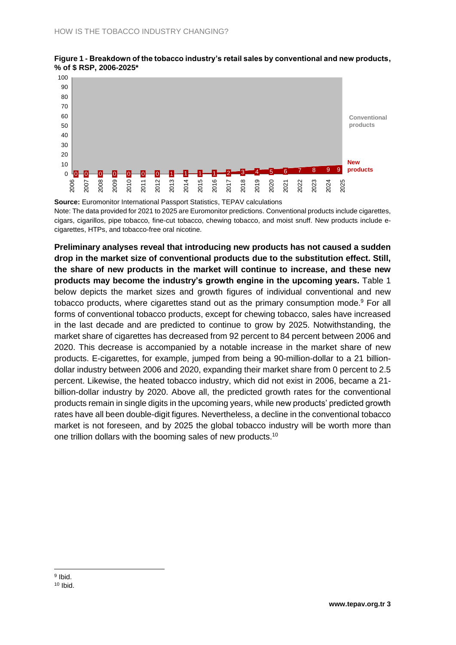



**Source:** Euromonitor International Passport Statistics, TEPAV calculations Note: The data provided for 2021 to 2025 are Euromonitor predictions. Conventional products include cigarettes, cigars, cigarillos, pipe tobacco, fine-cut tobacco, chewing tobacco, and moist snuff. New products include ecigarettes, HTPs, and tobacco-free oral nicotine.

**Preliminary analyses reveal that introducing new products has not caused a sudden drop in the market size of conventional products due to the substitution effect. Still, the share of new products in the market will continue to increase, and these new products may become the industry's growth engine in the upcoming years.** Table 1 below depicts the market sizes and growth figures of individual conventional and new tobacco products, where cigarettes stand out as the primary consumption mode.<sup>9</sup> For all forms of conventional tobacco products, except for chewing tobacco, sales have increased in the last decade and are predicted to continue to grow by 2025. Notwithstanding, the market share of cigarettes has decreased from 92 percent to 84 percent between 2006 and 2020. This decrease is accompanied by a notable increase in the market share of new products. E-cigarettes, for example, jumped from being a 90-million-dollar to a 21 billiondollar industry between 2006 and 2020, expanding their market share from 0 percent to 2.5 percent. Likewise, the heated tobacco industry, which did not exist in 2006, became a 21 billion-dollar industry by 2020. Above all, the predicted growth rates for the conventional products remain in single digits in the upcoming years, while new products' predicted growth rates have all been double-digit figures. Nevertheless, a decline in the conventional tobacco market is not foreseen, and by 2025 the global tobacco industry will be worth more than one trillion dollars with the booming sales of new products.<sup>10</sup>

<sup>&</sup>lt;sup>9</sup> Ibid.

<sup>10</sup> Ibid.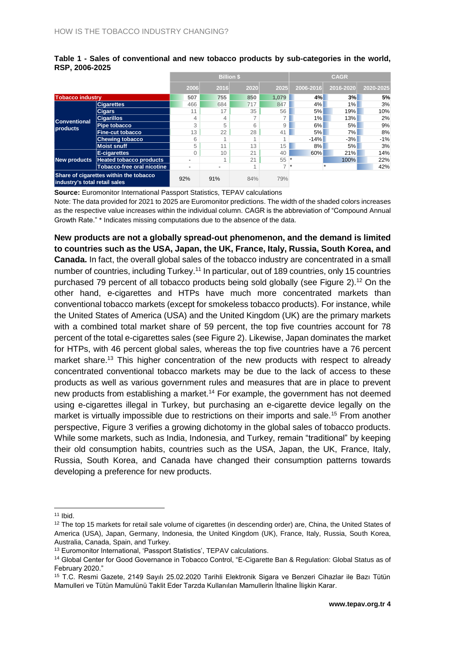|                                                                         |                                   | <b>Billion \$</b>        |                          |                |                          | <b>CAGR</b> |           |           |  |
|-------------------------------------------------------------------------|-----------------------------------|--------------------------|--------------------------|----------------|--------------------------|-------------|-----------|-----------|--|
|                                                                         |                                   | 2006                     | 2016                     | 2020           | 2025                     | 2006-2016   | 2016-2020 | 2020-2025 |  |
| <b>Tobacco industry</b>                                                 |                                   | 507                      | 755                      | 850            | 1.079                    | 4%          | 3%        | 5%        |  |
| <b>Conventional</b><br>products                                         | <b>Cigarettes</b>                 | 466                      | 684                      | 717            | 847                      | 4%          | 1%        | 3%        |  |
|                                                                         | <b>Cigars</b>                     | 11                       | 17                       | 35             | 56                       | 5%          | 19%       | 10%       |  |
|                                                                         | <b>Cigarillos</b>                 | 4                        | 4                        |                |                          | 1%          | 13%       | 2%        |  |
|                                                                         | Pipe tobacco                      | 3                        | 5                        | 6              | 9                        | 6%          | 5%        | 9%        |  |
|                                                                         | <b>Fine-cut tobacco</b>           | 13                       | 22                       | 28             | 41                       | 5%          | 7%        | 8%        |  |
|                                                                         | <b>Chewing tobacco</b>            | 6                        |                          |                |                          | $-14%$      | $-3%$     | $-1%$     |  |
|                                                                         | Moist snuff                       | 5                        | 11                       | 13             | 15                       | 8%          | 5%        | 3%        |  |
| <b>New products</b>                                                     | E-cigarettes                      |                          | 10                       | 21             | 40                       | 60%         | 21%       | 14%       |  |
|                                                                         | <b>Heated tobacco products</b>    | $\overline{\phantom{0}}$ |                          | 21             | 55                       |             | 100%      | 22%       |  |
|                                                                         | <b>Tobacco-free oral nicotine</b> | $\overline{\phantom{0}}$ | $\overline{\phantom{0}}$ | $\overline{A}$ | $\overline{\phantom{a}}$ | $\star$     |           | 42%       |  |
| Share of cigarettes within the tobacco<br>industry's total retail sales |                                   | 92%                      | 91%                      | 84%            | 79%                      |             |           |           |  |

#### **Table 1 - Sales of conventional and new tobacco products by sub-categories in the world, RSP, 2006-2025**

**Source:** Euromonitor International Passport Statistics, TEPAV calculations

Note: The data provided for 2021 to 2025 are Euromonitor predictions. The width of the shaded colors increases as the respective value increases within the individual column. CAGR is the abbreviation of "Compound Annual Growth Rate." \* Indicates missing computations due to the absence of the data.

**New products are not a globally spread-out phenomenon, and the demand is limited to countries such as the USA, Japan, the UK, France, Italy, Russia, South Korea, and Canada.** In fact, the overall global sales of the tobacco industry are concentrated in a small number of countries, including Turkey.<sup>11</sup> In particular, out of 189 countries, only 15 countries purchased 79 percent of all tobacco products being sold globally (see [Figure 2\)](#page-4-0).<sup>12</sup> On the other hand, e-cigarettes and HTPs have much more concentrated markets than conventional tobacco markets (except for smokeless tobacco products). For instance, while the United States of America (USA) and the United Kingdom (UK) are the primary markets with a combined total market share of 59 percent, the top five countries account for 78 percent of the total e-cigarettes sales (see Figure 2). Likewise, Japan dominates the market for HTPs, with 46 percent global sales, whereas the top five countries have a 76 percent market share.<sup>13</sup> This higher concentration of the new products with respect to already concentrated conventional tobacco markets may be due to the lack of access to these products as well as various government rules and measures that are in place to prevent new products from establishing a market.<sup>14</sup> For example, the government has not deemed using e-cigarettes illegal in Turkey, but purchasing an e-cigarette device legally on the market is virtually impossible due to restrictions on their imports and sale.<sup>15</sup> From another perspective, [Figure 3](#page-4-1) verifies a growing dichotomy in the global sales of tobacco products. While some markets, such as India, Indonesia, and Turkey, remain "traditional" by keeping their old consumption habits, countries such as the USA, Japan, the UK, France, Italy, Russia, South Korea, and Canada have changed their consumption patterns towards developing a preference for new products.

 $\overline{a}$ 

 $11$  Ibid.

<sup>&</sup>lt;sup>12</sup> The top 15 markets for retail sale volume of cigarettes (in descending order) are, China, the United States of America (USA), Japan, Germany, Indonesia, the United Kingdom (UK), France, Italy, Russia, South Korea, Australia, Canada, Spain, and Turkey.

<sup>13</sup> Euromonitor International, 'Passport Statistics', TEPAV calculations.

<sup>14</sup> Global Center for Good Governance in Tobacco Control, "E-Cigarette Ban & Regulation: Global Status as of February 2020."

<sup>15</sup> T.C. Resmi Gazete, 2149 Sayılı 25.02.2020 Tarihli Elektronik Sigara ve Benzeri Cihazlar ile Bazı Tütün Mamulleri ve Tütün Mamulünü Taklit Eder Tarzda Kullanılan Mamullerin İthaline İlişkin Karar.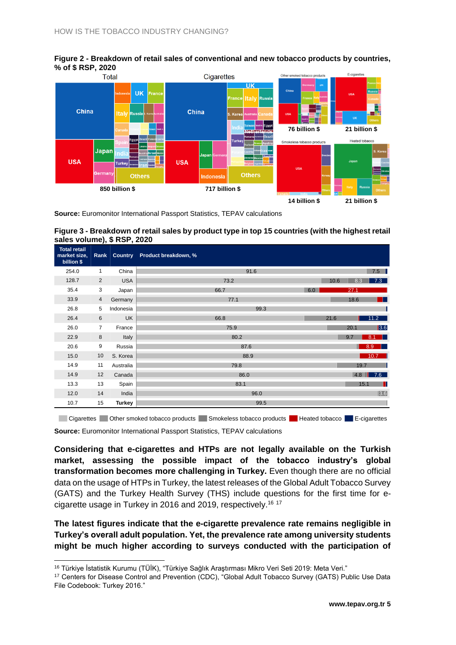<span id="page-4-0"></span>



**Source:** Euromonitor International Passport Statistics, TEPAV calculations

#### <span id="page-4-1"></span>**Figure 3 - Breakdown of retail sales by product type in top 15 countries (with the highest retail sales volume), \$ RSP, 2020**

| <b>Total retail</b><br>market size,<br>billion \$ | . .<br>Rank    | <b>Country</b> | Product breakdown, % |      |      |                  |
|---------------------------------------------------|----------------|----------------|----------------------|------|------|------------------|
| 254.0                                             | 1              | China          | 91.6                 |      |      | 7.5              |
| 128.7                                             | 2              | <b>USA</b>     | 73.2                 | 10.6 | 8.3  | 7.3              |
| 35.4                                              | 3              | Japan          | 66.7<br>6.0          |      | 27.1 |                  |
| 33.9                                              | 4              | Germany        | 77.1                 |      | 18.6 | - 11             |
| 26.8                                              | 5              | Indonesia      | 99.3                 |      |      |                  |
| 26.4                                              | 6              | <b>UK</b>      | 66.8                 | 21.6 |      | 11.2             |
| 26.0                                              | $\overline{7}$ | France         | 75.9                 |      | 20.1 | $\sqrt{3.6}$     |
| 22.9                                              | 8              | Italy          | 80.2                 |      | 9.7  | 8.1<br>a ka      |
| 20.6                                              | 9              | Russia         | 87.6                 |      |      | 8.9              |
| 15.0                                              | 10             | S. Korea       | 88.9                 |      |      | 10.7             |
| 14.9                                              | 11             | Australia      | 79.8                 |      | 19.7 |                  |
| 14.9                                              | 12             | Canada         | 86.0                 |      | 4.8  | 7.6              |
| 13.3                                              | 13             | Spain          | 83.1                 |      | 15.1 | П                |
| 12.0                                              | 14             | India          | 96.0                 |      |      | $\overline{3.6}$ |
| 10.7                                              | 15             | <b>Turkey</b>  | 99.5                 |      |      |                  |

**Source:** Euromonitor International Passport Statistics, TEPAV calculations Cigarettes Other smoked tobacco products Smokeless tobacco products Reated tobacco E-cigarettes

**Considering that e-cigarettes and HTPs are not legally available on the Turkish market, assessing the possible impact of the tobacco industry's global transformation becomes more challenging in Turkey.** Even though there are no official data on the usage of HTPs in Turkey, the latest releases of the Global Adult Tobacco Survey (GATS) and the Turkey Health Survey (THS) include questions for the first time for ecigarette usage in Turkey in 2016 and 2019, respectively. 16 17

**The latest figures indicate that the e-cigarette prevalence rate remains negligible in Turkey's overall adult population. Yet, the prevalence rate among university students might be much higher according to surveys conducted with the participation of** 

 $\overline{a}$ 

<sup>16</sup> Türkiye İstatistik Kurumu (TÜİK), "Türkiye Sağlık Araştırması Mikro Veri Seti 2019: Meta Veri."

<sup>17</sup> Centers for Disease Control and Prevention (CDC), "Global Adult Tobacco Survey (GATS) Public Use Data File Codebook: Turkey 2016."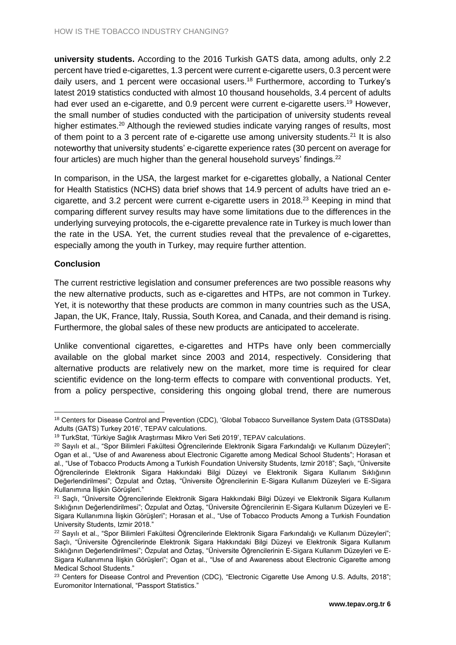**university students.** According to the 2016 Turkish GATS data, among adults, only 2.2 percent have tried e-cigarettes, 1.3 percent were current e-cigarette users, 0.3 percent were daily users, and 1 percent were occasional users.<sup>18</sup> Furthermore, according to Turkey's latest 2019 statistics conducted with almost 10 thousand households, 3.4 percent of adults had ever used an e-cigarette, and 0.9 percent were current e-cigarette users.<sup>19</sup> However, the small number of studies conducted with the participation of university students reveal higher estimates.<sup>20</sup> Although the reviewed studies indicate varying ranges of results, most of them point to a 3 percent rate of e-cigarette use among university students.<sup>21</sup> It is also noteworthy that university students' e-cigarette experience rates (30 percent on average for four articles) are much higher than the general household surveys' findings.<sup>22</sup>

In comparison, in the USA, the largest market for e-cigarettes globally, a National Center for Health Statistics (NCHS) data brief shows that 14.9 percent of adults have tried an ecigarette, and 3.2 percent were current e-cigarette users in 2018. <sup>23</sup> Keeping in mind that comparing different survey results may have some limitations due to the differences in the underlying surveying protocols, the e-cigarette prevalence rate in Turkey is much lower than the rate in the USA. Yet, the current studies reveal that the prevalence of e-cigarettes, especially among the youth in Turkey, may require further attention.

### **Conclusion**

The current restrictive legislation and consumer preferences are two possible reasons why the new alternative products, such as e-cigarettes and HTPs, are not common in Turkey. Yet, it is noteworthy that these products are common in many countries such as the USA, Japan, the UK, France, Italy, Russia, South Korea, and Canada, and their demand is rising. Furthermore, the global sales of these new products are anticipated to accelerate.

Unlike conventional cigarettes, e-cigarettes and HTPs have only been commercially available on the global market since 2003 and 2014, respectively. Considering that alternative products are relatively new on the market, more time is required for clear scientific evidence on the long-term effects to compare with conventional products. Yet, from a policy perspective, considering this ongoing global trend, there are numerous

 $\overline{a}$ <sup>18</sup> Centers for Disease Control and Prevention (CDC), 'Global Tobacco Surveillance System Data (GTSSData) Adults (GATS) Turkey 2016', TEPAV calculations.

<sup>19</sup> TurkStat, 'Türkiye Sağlık Araştırması Mikro Veri Seti 2019', TEPAV calculations.

<sup>&</sup>lt;sup>20</sup> Sayılı et al., "Spor Bilimleri Fakültesi Öğrencilerinde Elektronik Sigara Farkındalığı ve Kullanım Düzeyleri"; Ogan et al., "Use of and Awareness about Electronic Cigarette among Medical School Students"; Horasan et al., "Use of Tobacco Products Among a Turkish Foundation University Students, Izmir 2018"; Saçlı, "Üniversite Öğrencilerinde Elektronik Sigara Hakkındaki Bilgi Düzeyi ve Elektronik Sigara Kullanım Sıklığının Değerlendirilmesi"; Özpulat and Öztaş, "Üniversite Öğrencilerinin E-Sigara Kullanım Düzeyleri ve E-Sigara Kullanımına İlişkin Görüşleri."

<sup>21</sup> Saçlı, "Üniversite Öğrencilerinde Elektronik Sigara Hakkındaki Bilgi Düzeyi ve Elektronik Sigara Kullanım Sıklığının Değerlendirilmesi"; Özpulat and Öztaş, "Üniversite Öğrencilerinin E-Sigara Kullanım Düzeyleri ve E-Sigara Kullanımına İlişkin Görüşleri"; Horasan et al., "Use of Tobacco Products Among a Turkish Foundation University Students, Izmir 2018."

<sup>&</sup>lt;sup>22</sup> Sayılı et al., "Spor Bilimleri Fakültesi Öğrencilerinde Elektronik Sigara Farkındalığı ve Kullanım Düzeyleri"; Saçlı, "Üniversite Öğrencilerinde Elektronik Sigara Hakkındaki Bilgi Düzeyi ve Elektronik Sigara Kullanım Sıklığının Değerlendirilmesi"; Özpulat and Öztaş, "Üniversite Öğrencilerinin E-Sigara Kullanım Düzeyleri ve E-Sigara Kullanımına İlişkin Görüşleri"; Ogan et al., "Use of and Awareness about Electronic Cigarette among Medical School Students."

<sup>&</sup>lt;sup>23</sup> Centers for Disease Control and Prevention (CDC), "Electronic Cigarette Use Among U.S. Adults, 2018"; Euromonitor International, "Passport Statistics."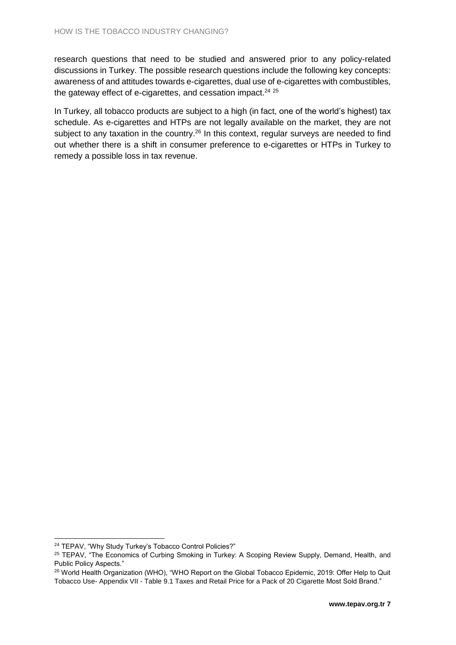research questions that need to be studied and answered prior to any policy-related discussions in Turkey. The possible research questions include the following key concepts: awareness of and attitudes towards e-cigarettes, dual use of e-cigarettes with combustibles, the gateway effect of e-cigarettes, and cessation impact.<sup>24 25</sup>

In Turkey, all tobacco products are subject to a high (in fact, one of the world's highest) tax schedule. As e-cigarettes and HTPs are not legally available on the market, they are not subject to any taxation in the country.<sup>26</sup> In this context, regular surveys are needed to find out whether there is a shift in consumer preference to e-cigarettes or HTPs in Turkey to remedy a possible loss in tax revenue.

 <sup>24</sup> TEPAV. "Why Study Turkey's Tobacco Control Policies?"

<sup>&</sup>lt;sup>25</sup> TEPAV, "The Economics of Curbing Smoking in Turkey: A Scoping Review Supply, Demand, Health, and Public Policy Aspects."

<sup>&</sup>lt;sup>26</sup> World Health Organization (WHO), "WHO Report on the Global Tobacco Epidemic, 2019: Offer Help to Quit Tobacco Use- Appendix VII - Table 9.1 Taxes and Retail Price for a Pack of 20 Cigarette Most Sold Brand."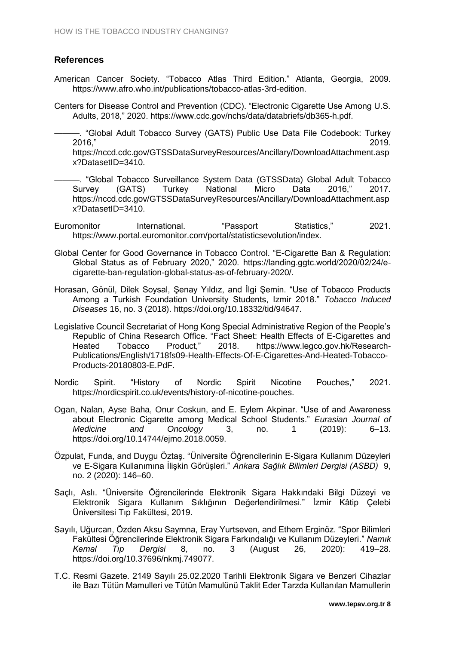# **References**

- American Cancer Society. "Tobacco Atlas Third Edition." Atlanta, Georgia, 2009. https://www.afro.who.int/publications/tobacco-atlas-3rd-edition.
- Centers for Disease Control and Prevention (CDC). "Electronic Cigarette Use Among U.S. Adults, 2018," 2020. https://www.cdc.gov/nchs/data/databriefs/db365-h.pdf.
	- ———. "Global Adult Tobacco Survey (GATS) Public Use Data File Codebook: Turkey 2016," 2019.

https://nccd.cdc.gov/GTSSDataSurveyResources/Ancillary/DownloadAttachment.asp x?DatasetID=3410.

- ———. "Global Tobacco Surveillance System Data (GTSSData) Global Adult Tobacco Survey (GATS) Turkey National Micro Data 2016," 2017. https://nccd.cdc.gov/GTSSDataSurveyResources/Ancillary/DownloadAttachment.asp x?DatasetID=3410.
- Euromonitor International. "Passport Statistics," 2021. https://www.portal.euromonitor.com/portal/statisticsevolution/index.
- Global Center for Good Governance in Tobacco Control. "E-Cigarette Ban & Regulation: Global Status as of February 2020," 2020. https://landing.ggtc.world/2020/02/24/ecigarette-ban-regulation-global-status-as-of-february-2020/.
- Horasan, Gönül, Dilek Soysal, Şenay Yıldız, and İlgi Şemin. "Use of Tobacco Products Among a Turkish Foundation University Students, Izmir 2018." *Tobacco Induced Diseases* 16, no. 3 (2018). https://doi.org/10.18332/tid/94647.
- Legislative Council Secretariat of Hong Kong Special Administrative Region of the People's Republic of China Research Office. "Fact Sheet: Health Effects of E-Cigarettes and Heated Tobacco Product," 2018. https://www.legco.gov.hk/Research-Publications/English/1718fs09-Health-Effects-Of-E-Cigarettes-And-Heated-Tobacco-Products-20180803-E.PdF.
- Nordic Spirit. "History of Nordic Spirit Nicotine Pouches," 2021. https://nordicspirit.co.uk/events/history-of-nicotine-pouches.
- Ogan, Nalan, Ayse Baha, Onur Coskun, and E. Eylem Akpinar. "Use of and Awareness about Electronic Cigarette among Medical School Students." *Eurasian Journal of Medicine and Oncology* 3, no. 1 (2019): 6–13. https://doi.org/10.14744/ejmo.2018.0059.
- Özpulat, Funda, and Duygu Öztaş. "Üniversite Öğrencilerinin E-Sigara Kullanım Düzeyleri ve E-Sigara Kullanımına İlişkin Görüşleri." *Ankara Sağlık Bilimleri Dergisi (ASBD)* 9, no. 2 (2020): 146–60.
- Saçlı, Aslı. "Üniversite Öğrencilerinde Elektronik Sigara Hakkındaki Bilgi Düzeyi ve Elektronik Sigara Kullanım Sıklığının Değerlendirilmesi." İzmir Kâtip Çelebi Üniversitesi Tıp Fakültesi, 2019.
- Sayılı, Uğurcan, Özden Aksu Saymna, Eray Yurtseven, and Ethem Erginöz. "Spor Bilimleri Fakültesi Öğrencilerinde Elektronik Sigara Farkındalığı ve Kullanım Düzeyleri." *Namık Kemal Tıp Dergisi* 8, no. 3 (August 26, 2020): 419–28. https://doi.org/10.37696/nkmj.749077.
- T.C. Resmi Gazete. 2149 Sayılı 25.02.2020 Tarihli Elektronik Sigara ve Benzeri Cihazlar ile Bazı Tütün Mamulleri ve Tütün Mamulünü Taklit Eder Tarzda Kullanılan Mamullerin